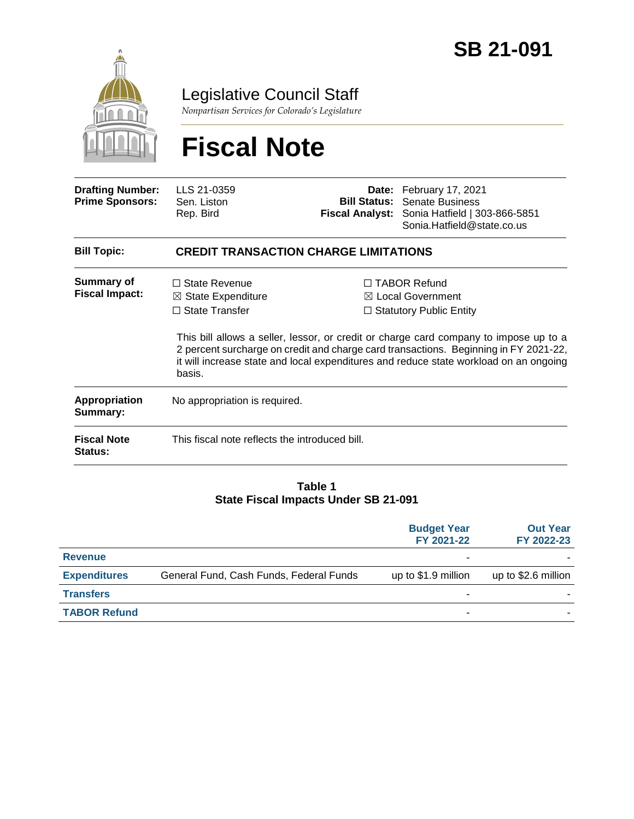

Legislative Council Staff

*Nonpartisan Services for Colorado's Legislature*

# **Fiscal Note**

| <b>Drafting Number:</b><br><b>Prime Sponsors:</b> | LLS 21-0359<br>Sen. Liston<br>Rep. Bird                                                  |  | Date: February 17, 2021<br><b>Bill Status: Senate Business</b><br>Fiscal Analyst: Sonia Hatfield   303-866-5851<br>Sonia.Hatfield@state.co.us                                                                                                                                                                                                                   |  |
|---------------------------------------------------|------------------------------------------------------------------------------------------|--|-----------------------------------------------------------------------------------------------------------------------------------------------------------------------------------------------------------------------------------------------------------------------------------------------------------------------------------------------------------------|--|
| <b>Bill Topic:</b>                                | <b>CREDIT TRANSACTION CHARGE LIMITATIONS</b>                                             |  |                                                                                                                                                                                                                                                                                                                                                                 |  |
| <b>Summary of</b><br><b>Fiscal Impact:</b>        | $\Box$ State Revenue<br>$\boxtimes$ State Expenditure<br>$\Box$ State Transfer<br>basis. |  | $\Box$ TABOR Refund<br>$\boxtimes$ Local Government<br>$\Box$ Statutory Public Entity<br>This bill allows a seller, lessor, or credit or charge card company to impose up to a<br>2 percent surcharge on credit and charge card transactions. Beginning in FY 2021-22,<br>it will increase state and local expenditures and reduce state workload on an ongoing |  |
| Appropriation<br>Summary:                         | No appropriation is required.                                                            |  |                                                                                                                                                                                                                                                                                                                                                                 |  |
| <b>Fiscal Note</b><br><b>Status:</b>              | This fiscal note reflects the introduced bill.                                           |  |                                                                                                                                                                                                                                                                                                                                                                 |  |

#### **Table 1 State Fiscal Impacts Under SB 21-091**

|                     |                                         | <b>Budget Year</b><br>FY 2021-22 | <b>Out Year</b><br>FY 2022-23 |
|---------------------|-----------------------------------------|----------------------------------|-------------------------------|
| <b>Revenue</b>      |                                         |                                  |                               |
| <b>Expenditures</b> | General Fund, Cash Funds, Federal Funds | up to \$1.9 million              | up to \$2.6 million           |
| <b>Transfers</b>    |                                         |                                  |                               |
| <b>TABOR Refund</b> |                                         | -                                |                               |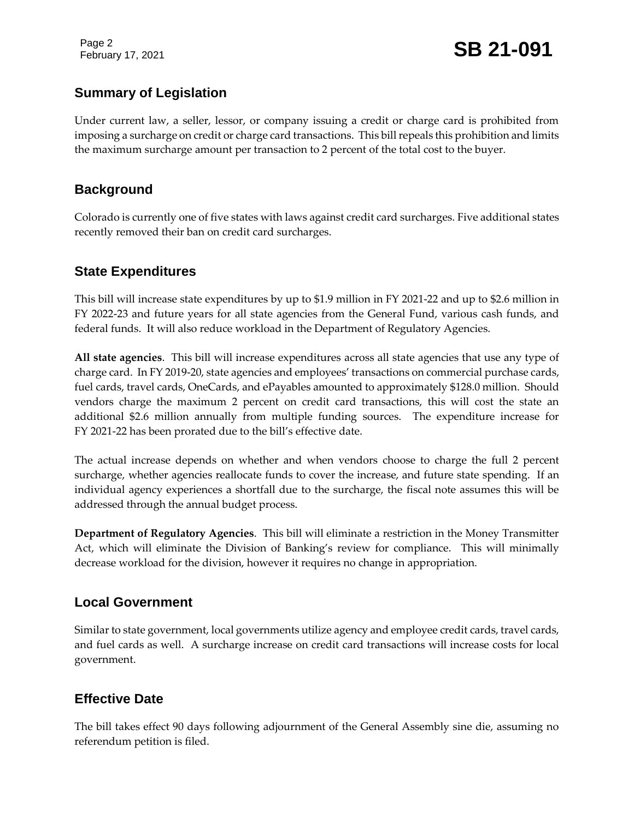Page 2

February 17, 2021 **SB 21-091**

#### **Summary of Legislation**

Under current law, a seller, lessor, or company issuing a credit or charge card is prohibited from imposing a surcharge on credit or charge card transactions. This bill repeals this prohibition and limits the maximum surcharge amount per transaction to 2 percent of the total cost to the buyer.

#### **Background**

Colorado is currently one of five states with laws against credit card surcharges. Five additional states recently removed their ban on credit card surcharges.

#### **State Expenditures**

This bill will increase state expenditures by up to \$1.9 million in FY 2021-22 and up to \$2.6 million in FY 2022-23 and future years for all state agencies from the General Fund, various cash funds, and federal funds. It will also reduce workload in the Department of Regulatory Agencies.

**All state agencies**. This bill will increase expenditures across all state agencies that use any type of charge card. In FY 2019-20, state agencies and employees' transactions on commercial purchase cards, fuel cards, travel cards, OneCards, and ePayables amounted to approximately \$128.0 million. Should vendors charge the maximum 2 percent on credit card transactions, this will cost the state an additional \$2.6 million annually from multiple funding sources. The expenditure increase for FY 2021-22 has been prorated due to the bill's effective date.

The actual increase depends on whether and when vendors choose to charge the full 2 percent surcharge, whether agencies reallocate funds to cover the increase, and future state spending. If an individual agency experiences a shortfall due to the surcharge, the fiscal note assumes this will be addressed through the annual budget process.

**Department of Regulatory Agencies**. This bill will eliminate a restriction in the Money Transmitter Act, which will eliminate the Division of Banking's review for compliance. This will minimally decrease workload for the division, however it requires no change in appropriation.

#### **Local Government**

Similar to state government, local governments utilize agency and employee credit cards, travel cards, and fuel cards as well. A surcharge increase on credit card transactions will increase costs for local government.

### **Effective Date**

The bill takes effect 90 days following adjournment of the General Assembly sine die, assuming no referendum petition is filed.